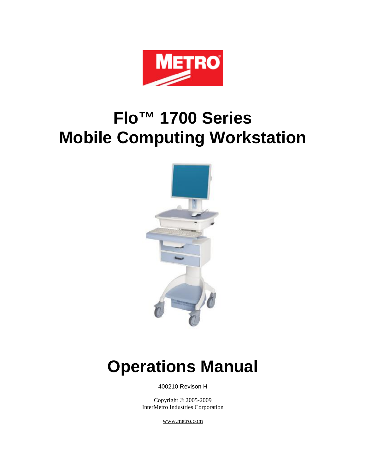

# **Flo™ 1700 Series Mobile Computing Workstation**



# **Operations Manual**

400210 Revison H

Copyright © 2005-2009 InterMetro Industries Corporation

[www.metro.com](http://www.metro.com)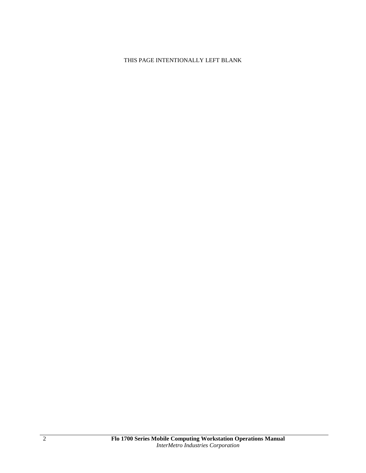#### THIS PAGE INTENTIONALLY LEFT BLANK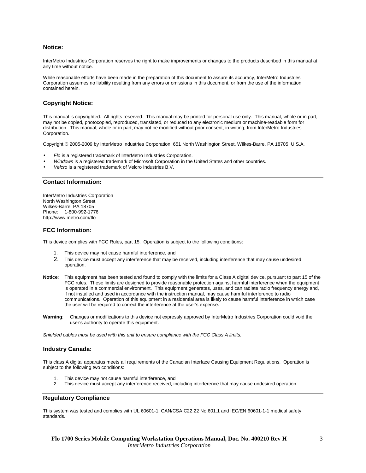#### **Notice:**

InterMetro Industries Corporation reserves the right to make improvements or changes to the products described in this manual at any time without notice.

While reasonable efforts have been made in the preparation of this document to assure its accuracy, InterMetro Industries Corporation assumes no liability resulting from any errors or omissions in this document, or from the use of the information contained herein.

#### **Copyright Notice:**

This manual is copyrighted. All rights reserved. This manual may be printed for personal use only. This manual, whole or in part, may not be copied, photocopied, reproduced, translated, or reduced to any electronic medium or machine-readable form for distribution. This manual, whole or in part, may not be modified without prior consent, in writing, from InterMetro Industries Corporation.

Copyright © 2005-2009 by InterMetro Industries Corporation, 651 North Washington Street, Wilkes-Barre, PA 18705, U.S.A.

- *Flo* is a registered trademark of InterMetro Industries Corporation.
- *Windows* is a registered trademark of Microsoft Corporation in the United States and other countries.
- *Velcro* is a registered trademark of Velcro Industries B.V.

#### **Contact Information:**

InterMetro Industries Corporation North Washington Street Wilkes-Barre, PA 18705 Phone: 1-800-992-1776 <http://www.metro.com/flo>

#### **FCC Information:**

This device complies with FCC Rules, part 15. Operation is subject to the following conditions:

- 1. This device may not cause harmful interference, and
- 2. This device must accept any interference that may be received, including interference that may cause undesired operation.
- **Notice**: This equipment has been tested and found to comply with the limits for a Class A digital device, pursuant to part 15 of the FCC rules. These limits are designed to provide reasonable protection against harmful interference when the equipment is operated in a commercial environment. This equipment generates, uses, and can radiate radio frequency energy and, if not installed and used in accordance with the instruction manual, may cause harmful interference to radio communications. Operation of this equipment in a residential area is likely to cause harmful interference in which case the user will be required to correct the interference at the user's expense.
- **Warning**: Changes or modifications to this device not expressly approved by InterMetro Industries Corporation could void the user's authority to operate this equipment.

*Shielded cables must be used with this unit to ensure compliance with the FCC Class A limits.* 

#### **Industry Canada:**

This class A digital apparatus meets all requirements of the Canadian Interface Causing Equipment Regulations. Operation is subject to the following two conditions:

- 1. This device may not cause harmful interference, and
- 2. This device must accept any interference received, including interference that may cause undesired operation.

#### **Regulatory Compliance**

This system was tested and complies with UL 60601-1, CAN/CSA C22.22 No.601.1 and IEC/EN 60601-1-1 medical safety standards.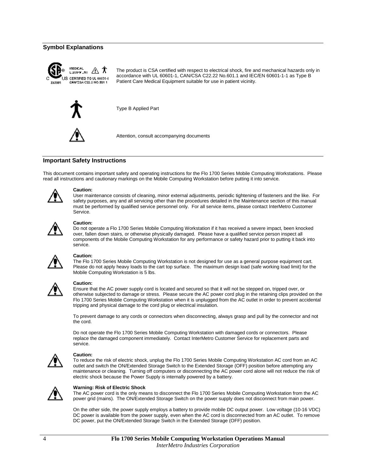#### **Symbol Explanations**



The product is CSA certified with respect to electrical shock, fire and mechanical hazards only in accordance with UL 60601-1, CAN/CSA C22.22 No.601.1 and IEC/EN 60601-1-1 as Type B Patient Care Medical Equipment suitable for use in patient vicinity.

Type B Applied Part



Attention, consult accompanying documents

#### **Important Safety Instructions**

This document contains important safety and operating instructions for the Flo 1700 Series Mobile Computing Workstations. Please read all instructions and cautionary markings on the Mobile Computing Workstation before putting it into service.



#### **Caution:**

User maintenance consists of cleaning, minor external adjustments, periodic tightening of fasteners and the like. For safety purposes, any and all servicing other than the procedures detailed in the Maintenance section of this manual must be performed by qualified service personnel only. For all service items, please contact InterMetro Customer Service.



#### **Caution:**

Do not operate a Flo 1700 Series Mobile Computing Workstation if it has received a severe impact, been knocked over, fallen down stairs, or otherwise physically damaged. Please have a qualified service person inspect all components of the Mobile Computing Workstation for any performance or safety hazard prior to putting it back into service.



#### **Caution:**

The Flo 1700 Series Mobile Computing Workstation is not designed for use as a general purpose equipment cart. Please do not apply heavy loads to the cart top surface. The maximum design load (safe working load limit) for the Mobile Computing Workstation is 5 lbs.



#### **Caution:**

Ensure that the AC power supply cord is located and secured so that it will not be stepped on, tripped over, or otherwise subjected to damage or stress. Please secure the AC power cord plug in the retaining clips provided on the Flo 1700 Series Mobile Computing Workstation when it is unplugged from the AC outlet in order to prevent accidental tripping and physical damage to the cord plug or electrical insulation.

To prevent damage to any cords or connectors when disconnecting, always grasp and pull by the connector and not the cord.

Do not operate the Flo 1700 Series Mobile Computing Workstation with damaged cords or connectors. Please replace the damaged component immediately. Contact InterMetro Customer Service for replacement parts and service.



#### **Caution:**

To reduce the risk of electric shock, unplug the Flo 1700 Series Mobile Computing Workstation AC cord from an AC outlet and switch the ON/Extended Storage Switch to the Extended Storage (OFF) position before attempting any maintenance or cleaning. Turning off computers or disconnecting the AC power cord alone will not reduce the risk of electric shock because the Power Supply is internally powered by a battery.



#### **Warning: Risk of Electric Shock**

The AC power cord is the only means to disconnect the Flo 1700 Series Mobile Computing Workstation from the AC power grid (mains). The ON/Extended Storage Switch on the power supply does not disconnect from main power.

On the other side, the power supply employs a battery to provide mobile DC output power. Low voltage (10-16 VDC) DC power is available from the power supply, even when the AC cord is disconnected from an AC outlet. To remove DC power, put the ON/Extended Storage Switch in the Extended Storage (OFF) position.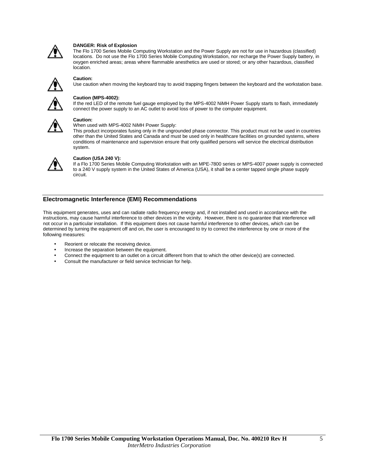

#### **DANGER: Risk of Explosion**

The Flo 1700 Series Mobile Computing Workstation and the Power Supply are not for use in hazardous (classified) locations. Do not use the Flo 1700 Series Mobile Computing Workstation, nor recharge the Power Supply battery, in oxygen enriched areas; areas where flammable anesthetics are used or stored; or any other hazardous, classified location.



#### **Caution:**

Use caution when moving the keyboard tray to avoid trapping fingers between the keyboard and the workstation base.

#### **Caution (MPS-4002):**

If the red LED of the remote fuel gauge employed by the MPS-4002 NiMH Power Supply starts to flash, immediately connect the power supply to an AC outlet to avoid loss of power to the computer equipment.



#### **Caution:**

When used with MPS-4002 NiMH Power Supply:

This product incorporates fusing only in the ungrounded phase connector. This product must not be used in countries other than the United States and Canada and must be used only in healthcare facilities on grounded systems, where conditions of maintenance and supervision ensure that only qualified persons will service the electrical distribution system.



#### **Caution (USA 240 V):**

If a Flo 1700 Series Mobile Computing Workstation with an MPE-7800 series or MPS-4007 power supply is connected to a 240 V supply system in the United States of America (USA), it shall be a center tapped single phase supply circuit.

#### **Electromagnetic Interference (EMI) Recommendations**

This equipment generates, uses and can radiate radio frequency energy and, if not installed and used in accordance with the instructions, may cause harmful interference to other devices in the vicinity. However, there is no guarantee that interference will not occur in a particular installation. If this equipment does not cause harmful interference to other devices, which can be determined by turning the equipment off and on, the user is encouraged to try to correct the interference by one or more of the following measures:

- Reorient or relocate the receiving device.
- Increase the separation between the equipment.
- Connect the equipment to an outlet on a circuit different from that to which the other device(s) are connected.
- Consult the manufacturer or field service technician for help.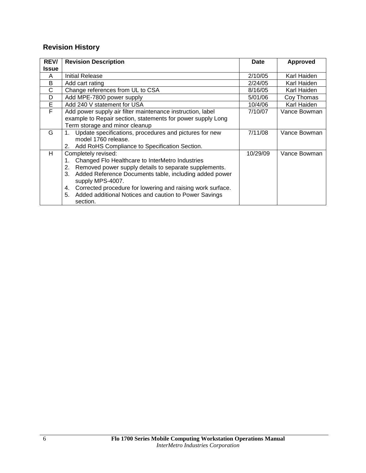## **Revision History**

| <b>REV/</b>  | <b>Revision Description</b>                                                                                                                                                                                                                                                                                                                                                    | Date     | <b>Approved</b> |
|--------------|--------------------------------------------------------------------------------------------------------------------------------------------------------------------------------------------------------------------------------------------------------------------------------------------------------------------------------------------------------------------------------|----------|-----------------|
| <b>Issue</b> |                                                                                                                                                                                                                                                                                                                                                                                |          |                 |
| A            | Initial Release                                                                                                                                                                                                                                                                                                                                                                | 2/10/05  | Karl Haiden     |
| B            | Add cart rating                                                                                                                                                                                                                                                                                                                                                                | 2/24/05  | Karl Haiden     |
| C            | Change references from UL to CSA                                                                                                                                                                                                                                                                                                                                               | 8/16/05  | Karl Haiden     |
| D            | Add MPE-7800 power supply                                                                                                                                                                                                                                                                                                                                                      | 5/01/06  | Coy Thomas      |
| Е            | Add 240 V statement for USA                                                                                                                                                                                                                                                                                                                                                    | 10/4/06  | Karl Haiden     |
| F            | Add power supply air filter maintenance instruction, label<br>example to Repair section, statements for power supply Long                                                                                                                                                                                                                                                      | 7/10/07  | Vance Bowman    |
|              | Term storage and minor cleanup                                                                                                                                                                                                                                                                                                                                                 |          |                 |
| G            | 1. Update specifications, procedures and pictures for new<br>model 1760 release.<br>Add RoHS Compliance to Specification Section.<br>2.                                                                                                                                                                                                                                        | 7/11/08  | Vance Bowman    |
| H            | Completely revised:<br>Changed Flo Healthcare to InterMetro Industries<br>1.<br>Removed power supply details to separate supplements.<br>2.<br>Added Reference Documents table, including added power<br>3.<br>supply MPS-4007.<br>Corrected procedure for lowering and raising work surface.<br>4.<br>Added additional Notices and caution to Power Savings<br>5.<br>section. | 10/29/09 | Vance Bowman    |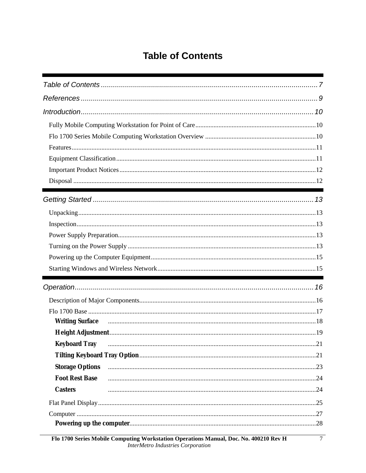# **Table of Contents**

| <b>Writing Surface</b> |  |  |
|------------------------|--|--|
|                        |  |  |
| <b>Keyboard Tray</b>   |  |  |
|                        |  |  |
| <b>Storage Options</b> |  |  |
| <b>Foot Rest Base</b>  |  |  |
| <b>Casters</b>         |  |  |
|                        |  |  |
|                        |  |  |
|                        |  |  |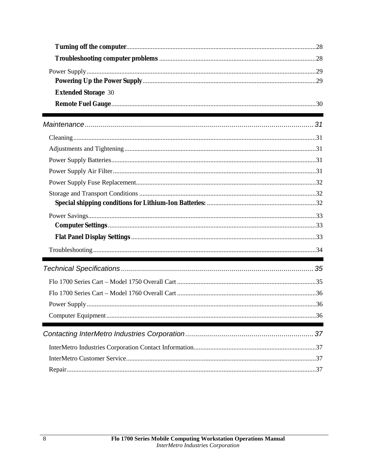| <b>Extended Storage 30</b> |  |  |  |  |
|----------------------------|--|--|--|--|
|                            |  |  |  |  |
|                            |  |  |  |  |
|                            |  |  |  |  |
|                            |  |  |  |  |
|                            |  |  |  |  |
|                            |  |  |  |  |
|                            |  |  |  |  |
|                            |  |  |  |  |
|                            |  |  |  |  |
|                            |  |  |  |  |
|                            |  |  |  |  |
|                            |  |  |  |  |
|                            |  |  |  |  |
|                            |  |  |  |  |
|                            |  |  |  |  |
|                            |  |  |  |  |
|                            |  |  |  |  |
|                            |  |  |  |  |
|                            |  |  |  |  |
|                            |  |  |  |  |
|                            |  |  |  |  |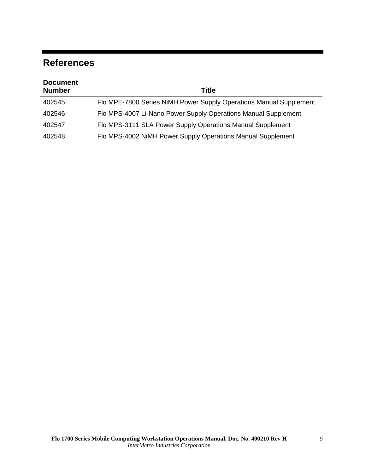# **References**

| <b>Document</b><br><b>Number</b> | Title                                                              |
|----------------------------------|--------------------------------------------------------------------|
| 402545                           | Flo MPE-7800 Series NiMH Power Supply Operations Manual Supplement |
| 402546                           | Flo MPS-4007 Li-Nano Power Supply Operations Manual Supplement     |
| 402547                           | Flo MPS-3111 SLA Power Supply Operations Manual Supplement         |
| 402548                           | Flo MPS-4002 NiMH Power Supply Operations Manual Supplement        |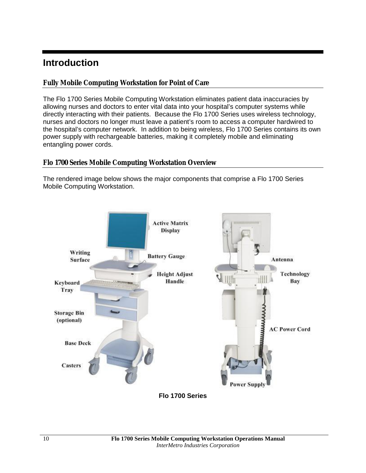# **Introduction**

### *Fully Mobile Computing Workstation for Point of Care*

The Flo 1700 Series Mobile Computing Workstation eliminates patient data inaccuracies by allowing nurses and doctors to enter vital data into your hospital's computer systems while directly interacting with their patients. Because the Flo 1700 Series uses wireless technology, nurses and doctors no longer must leave a patient's room to access a computer hardwired to the hospital's computer network. In addition to being wireless, Flo 1700 Series contains its own power supply with rechargeable batteries, making it completely mobile and eliminating entangling power cords.

### *Flo 1700 Series Mobile Computing Workstation Overview*

The rendered image below shows the major components that comprise a Flo 1700 Series Mobile Computing Workstation.



**Flo 1700 Series**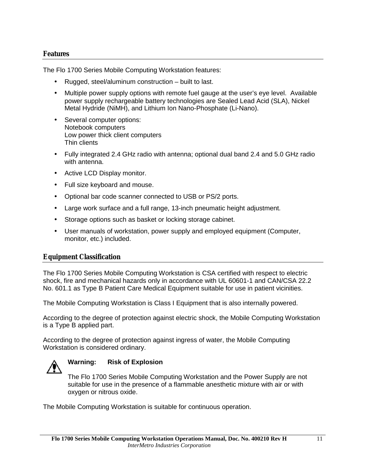#### *Features*

The Flo 1700 Series Mobile Computing Workstation features:

- Rugged, steel/aluminum construction built to last.
- Multiple power supply options with remote fuel gauge at the user's eye level. Available power supply rechargeable battery technologies are Sealed Lead Acid (SLA), Nickel Metal Hydride (NiMH), and Lithium Ion Nano-Phosphate (Li-Nano).
- Several computer options: Notebook computers Low power thick client computers Thin clients
- Fully integrated 2.4 GHz radio with antenna; optional dual band 2.4 and 5.0 GHz radio with antenna.
- Active LCD Display monitor.
- Full size keyboard and mouse.
- Optional bar code scanner connected to USB or PS/2 ports.
- Large work surface and a full range, 13-inch pneumatic height adjustment.
- Storage options such as basket or locking storage cabinet.
- User manuals of workstation, power supply and employed equipment (Computer, monitor, etc.) included.

#### *Equipment Classification*

The Flo 1700 Series Mobile Computing Workstation is CSA certified with respect to electric shock, fire and mechanical hazards only in accordance with UL 60601-1 and CAN/CSA 22.2 No. 601.1 as Type B Patient Care Medical Equipment suitable for use in patient vicinities.

The Mobile Computing Workstation is Class I Equipment that is also internally powered.

According to the degree of protection against electric shock, the Mobile Computing Workstation is a Type B applied part.

According to the degree of protection against ingress of water, the Mobile Computing Workstation is considered ordinary.



#### **Warning: Risk of Explosion**

The Flo 1700 Series Mobile Computing Workstation and the Power Supply are not suitable for use in the presence of a flammable anesthetic mixture with air or with oxygen or nitrous oxide.

The Mobile Computing Workstation is suitable for continuous operation.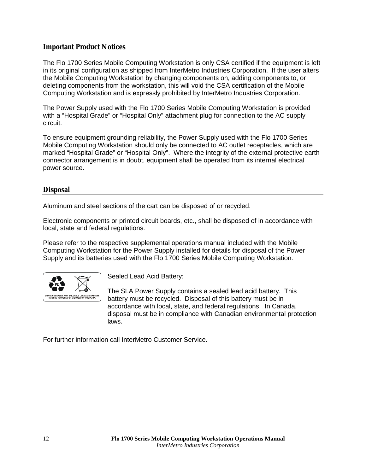### *Important Product Notices*

The Flo 1700 Series Mobile Computing Workstation is only CSA certified if the equipment is left in its original configuration as shipped from InterMetro Industries Corporation. If the user alters the Mobile Computing Workstation by changing components on, adding components to, or deleting components from the workstation, this will void the CSA certification of the Mobile Computing Workstation and is expressly prohibited by InterMetro Industries Corporation.

The Power Supply used with the Flo 1700 Series Mobile Computing Workstation is provided with a "Hospital Grade" or "Hospital Only" attachment plug for connection to the AC supply circuit.

To ensure equipment grounding reliability, the Power Supply used with the Flo 1700 Series Mobile Computing Workstation should only be connected to AC outlet receptacles, which are marked "Hospital Grade" or "Hospital Only". Where the integrity of the external protective earth connector arrangement is in doubt, equipment shall be operated from its internal electrical power source.

#### *Disposal*

Aluminum and steel sections of the cart can be disposed of or recycled.

Electronic components or printed circuit boards, etc., shall be disposed of in accordance with local, state and federal regulations.

Please refer to the respective supplemental operations manual included with the Mobile Computing Workstation for the Power Supply installed for details for disposal of the Power Supply and its batteries used with the Flo 1700 Series Mobile Computing Workstation.



Sealed Lead Acid Battery:

The SLA Power Supply contains a sealed lead acid battery. This battery must be recycled. Disposal of this battery must be in accordance with local, state, and federal regulations. In Canada, disposal must be in compliance with Canadian environmental protection laws.

For further information call InterMetro Customer Service.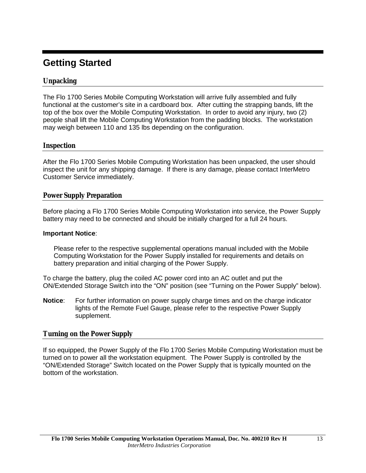# **Getting Started**

### *Unpacking*

The Flo 1700 Series Mobile Computing Workstation will arrive fully assembled and fully functional at the customer's site in a cardboard box. After cutting the strapping bands, lift the top of the box over the Mobile Computing Workstation. In order to avoid any injury, two (2) people shall lift the Mobile Computing Workstation from the padding blocks. The workstation may weigh between 110 and 135 lbs depending on the configuration.

#### *Inspection*

After the Flo 1700 Series Mobile Computing Workstation has been unpacked, the user should inspect the unit for any shipping damage. If there is any damage, please contact InterMetro Customer Service immediately.

#### *Power Supply Preparation*

Before placing a Flo 1700 Series Mobile Computing Workstation into service, the Power Supply battery may need to be connected and should be initially charged for a full 24 hours.

#### **Important Notice**:

Please refer to the respective supplemental operations manual included with the Mobile Computing Workstation for the Power Supply installed for requirements and details on battery preparation and initial charging of the Power Supply.

To charge the battery, plug the coiled AC power cord into an AC outlet and put the ON/Extended Storage Switch into the "ON" position (see "Turning on the Power Supply" below).

**Notice**: For further information on power supply charge times and on the charge indicator lights of the Remote Fuel Gauge, please refer to the respective Power Supply supplement.

### *Turning on the Power Supply*

If so equipped, the Power Supply of the Flo 1700 Series Mobile Computing Workstation must be turned on to power all the workstation equipment. The Power Supply is controlled by the "ON/Extended Storage" Switch located on the Power Supply that is typically mounted on the bottom of the workstation.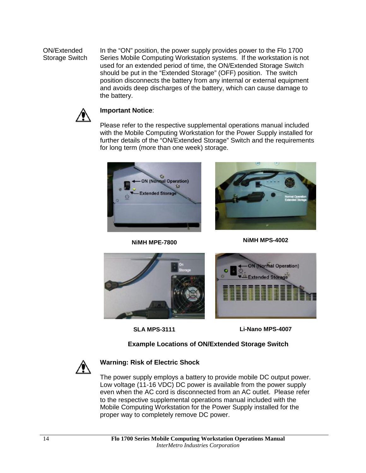#### ON/Extended Storage Switch

In the "ON" position, the power supply provides power to the Flo 1700 Series Mobile Computing Workstation systems. If the workstation is not used for an extended period of time, the ON/Extended Storage Switch should be put in the "Extended Storage" (OFF) position. The switch position disconnects the battery from any internal or external equipment and avoids deep discharges of the battery, which can cause damage to the battery.



#### **Important Notice**:

Please refer to the respective supplemental operations manual included with the Mobile Computing Workstation for the Power Supply installed for further details of the "ON/Extended Storage" Switch and the requirements for long term (more than one week) storage.





**NiMH MPE-7800 NiMH MPS-4002**



**SLA MPS-3111 Li-Nano MPS-4007** 

**Example Locations of ON/Extended Storage Switch**



#### **Warning: Risk of Electric Shock**

The power supply employs a battery to provide mobile DC output power. Low voltage (11-16 VDC) DC power is available from the power supply even when the AC cord is disconnected from an AC outlet. Please refer to the respective supplemental operations manual included with the Mobile Computing Workstation for the Power Supply installed for the proper way to completely remove DC power.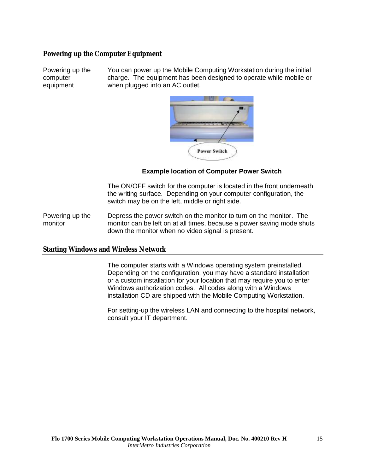#### *Powering up the Computer Equipment*

Powering up the computer equipment You can power up the Mobile Computing Workstation during the initial charge. The equipment has been designed to operate while mobile or when plugged into an AC outlet.



#### **Example location of Computer Power Switch**

The ON/OFF switch for the computer is located in the front underneath the writing surface. Depending on your computer configuration, the switch may be on the left, middle or right side.

Powering up the monitor Depress the power switch on the monitor to turn on the monitor. The monitor can be left on at all times, because a power saving mode shuts down the monitor when no video signal is present.

#### *Starting Windows and Wireless Network*

The computer starts with a Windows operating system preinstalled. Depending on the configuration, you may have a standard installation or a custom installation for your location that may require you to enter Windows authorization codes. All codes along with a Windows installation CD are shipped with the Mobile Computing Workstation.

For setting-up the wireless LAN and connecting to the hospital network, consult your IT department.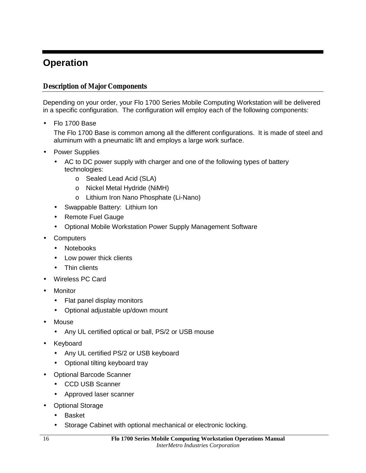# **Operation**

### *Description of Major Components*

Depending on your order, your Flo 1700 Series Mobile Computing Workstation will be delivered in a specific configuration. The configuration will employ each of the following components:

• Flo 1700 Base

The Flo 1700 Base is common among all the different configurations. It is made of steel and aluminum with a pneumatic lift and employs a large work surface.

- Power Supplies
	- AC to DC power supply with charger and one of the following types of battery technologies:
		- o Sealed Lead Acid (SLA)
		- o Nickel Metal Hydride (NiMH)
		- o Lithium Iron Nano Phosphate (Li-Nano)
	- Swappable Battery: Lithium Ion
	- Remote Fuel Gauge
	- Optional Mobile Workstation Power Supply Management Software
- **Computers** 
	- Notebooks
	- Low power thick clients
	- Thin clients
- Wireless PC Card
- **Monitor** 
	- Flat panel display monitors
	- Optional adjustable up/down mount
- **Mouse** 
	- Any UL certified optical or ball, PS/2 or USB mouse
- Keyboard
	- Any UL certified PS/2 or USB keyboard
	- Optional tilting keyboard tray
- Optional Barcode Scanner
	- CCD USB Scanner
	- Approved laser scanner
- **Optional Storage** 
	- Basket
	- Storage Cabinet with optional mechanical or electronic locking.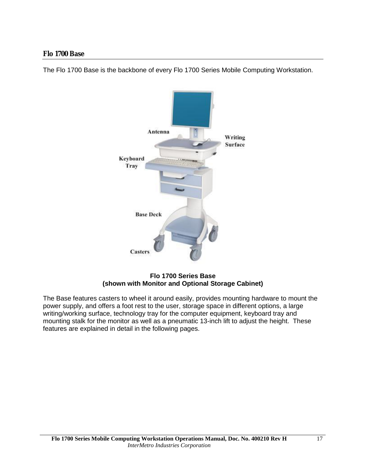### *Flo 1700 Base*



The Flo 1700 Base is the backbone of every Flo 1700 Series Mobile Computing Workstation.

#### **Flo 1700 Series Base (shown with Monitor and Optional Storage Cabinet)**

The Base features casters to wheel it around easily, provides mounting hardware to mount the power supply, and offers a foot rest to the user, storage space in different options, a large writing/working surface, technology tray for the computer equipment, keyboard tray and mounting stalk for the monitor as well as a pneumatic 13-inch lift to adjust the height. These features are explained in detail in the following pages.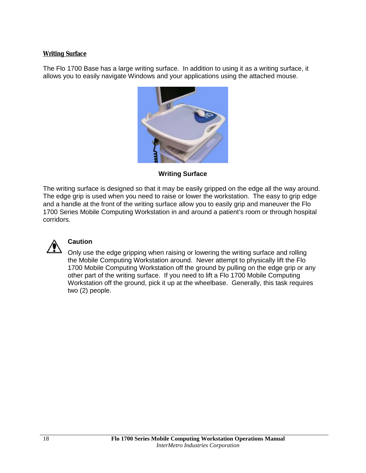#### **Writing Surface**

The Flo 1700 Base has a large writing surface. In addition to using it as a writing surface, it allows you to easily navigate Windows and your applications using the attached mouse.



**Writing Surface** 

The writing surface is designed so that it may be easily gripped on the edge all the way around. The edge grip is used when you need to raise or lower the workstation. The easy to grip edge and a handle at the front of the writing surface allow you to easily grip and maneuver the Flo 1700 Series Mobile Computing Workstation in and around a patient's room or through hospital corridors.



### **Caution**

Only use the edge gripping when raising or lowering the writing surface and rolling the Mobile Computing Workstation around. Never attempt to physically lift the Flo 1700 Mobile Computing Workstation off the ground by pulling on the edge grip or any other part of the writing surface. If you need to lift a Flo 1700 Mobile Computing Workstation off the ground, pick it up at the wheelbase. Generally, this task requires two (2) people.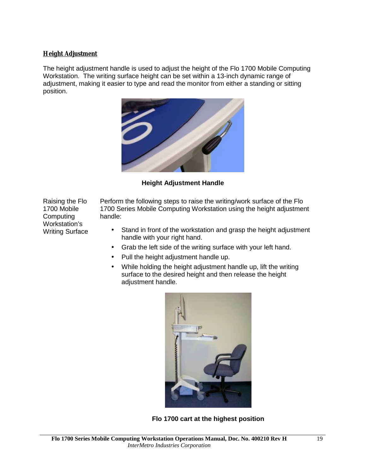#### **Height Adjustment**

The height adjustment handle is used to adjust the height of the Flo 1700 Mobile Computing Workstation. The writing surface height can be set within a 13-inch dynamic range of adjustment, making it easier to type and read the monitor from either a standing or sitting position.



**Height Adjustment Handle** 

Raising the Flo 1700 Mobile **Computing** Workstation's Writing Surface Perform the following steps to raise the writing/work surface of the Flo 1700 Series Mobile Computing Workstation using the height adjustment handle:

- Stand in front of the workstation and grasp the height adjustment handle with your right hand.
- Grab the left side of the writing surface with your left hand.
- Pull the height adjustment handle up.
- While holding the height adjustment handle up, lift the writing surface to the desired height and then release the height adjustment handle.



**Flo 1700 cart at the highest position**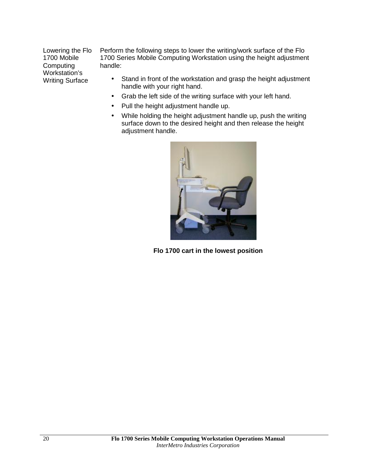Lowering the Flo 1700 Mobile Computing Workstation's Writing Surface

Perform the following steps to lower the writing/work surface of the Flo 1700 Series Mobile Computing Workstation using the height adjustment handle:

- Stand in front of the workstation and grasp the height adjustment handle with your right hand.
- Grab the left side of the writing surface with your left hand.
- Pull the height adjustment handle up.
- While holding the height adjustment handle up, push the writing surface down to the desired height and then release the height adjustment handle.



**Flo 1700 cart in the lowest position**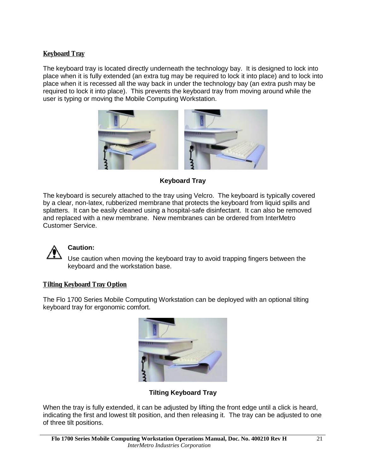### **Keyboard Tray**

The keyboard tray is located directly underneath the technology bay. It is designed to lock into place when it is fully extended (an extra tug may be required to lock it into place) and to lock into place when it is recessed all the way back in under the technology bay (an extra push may be required to lock it into place). This prevents the keyboard tray from moving around while the user is typing or moving the Mobile Computing Workstation.



**Keyboard Tray** 

The keyboard is securely attached to the tray using Velcro. The keyboard is typically covered by a clear, non-latex, rubberized membrane that protects the keyboard from liquid spills and splatters. It can be easily cleaned using a hospital-safe disinfectant. It can also be removed and replaced with a new membrane. New membranes can be ordered from InterMetro Customer Service.



### **Caution:**

Use caution when moving the keyboard tray to avoid trapping fingers between the keyboard and the workstation base.

### **Tilting Keyboard Tray Option**

The Flo 1700 Series Mobile Computing Workstation can be deployed with an optional tilting keyboard tray for ergonomic comfort.



**Tilting Keyboard Tray** 

When the tray is fully extended, it can be adjusted by lifting the front edge until a click is heard, indicating the first and lowest tilt position, and then releasing it. The tray can be adjusted to one of three tilt positions.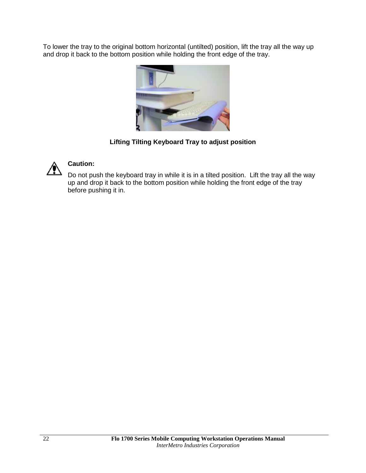To lower the tray to the original bottom horizontal (untilted) position, lift the tray all the way up and drop it back to the bottom position while holding the front edge of the tray.



### **Lifting Tilting Keyboard Tray to adjust position**



### **Caution:**

Do not push the keyboard tray in while it is in a tilted position. Lift the tray all the way up and drop it back to the bottom position while holding the front edge of the tray before pushing it in.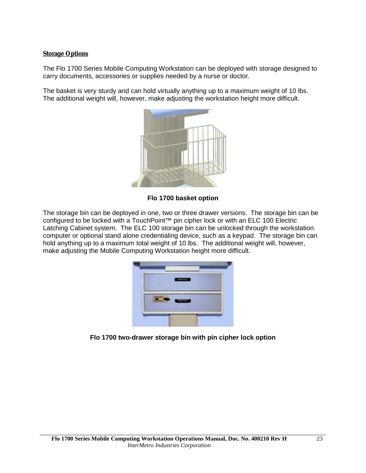#### **Storage Options**

The Flo 1700 Series Mobile Computing Workstation can be deployed with storage designed to carry documents, accessories or supplies needed by a nurse or doctor.

The basket is very sturdy and can hold virtually anything up to a maximum weight of 10 lbs. The additional weight will, however, make adjusting the workstation height more difficult.



**Flo 1700 basket option** 

The storage bin can be deployed in one, two or three drawer versions. The storage bin can be configured to be locked with a TouchPoint™ pin cipher lock or with an ELC 100 Electric Latching Cabinet system. The ELC 100 storage bin can be unlocked through the workstation computer or optional stand alone credentialing device, such as a keypad. The storage bin can hold anything up to a maximum total weight of 10 lbs. The additional weight will, however, make adjusting the Mobile Computing Workstation height more difficult.



**Flo 1700 two-drawer storage bin with pin cipher lock option**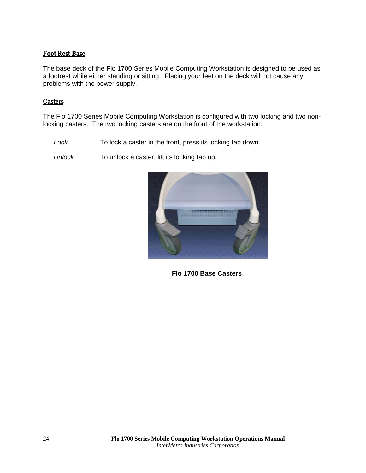#### **Foot Rest Base**

The base deck of the Flo 1700 Series Mobile Computing Workstation is designed to be used as a footrest while either standing or sitting. Placing your feet on the deck will not cause any problems with the power supply.

#### **Casters**

The Flo 1700 Series Mobile Computing Workstation is configured with two locking and two nonlocking casters. The two locking casters are on the front of the workstation.

Lock To lock a caster in the front, press its locking tab down.

*Unlock* To unlock a caster, lift its locking tab up.



**Flo 1700 Base Casters**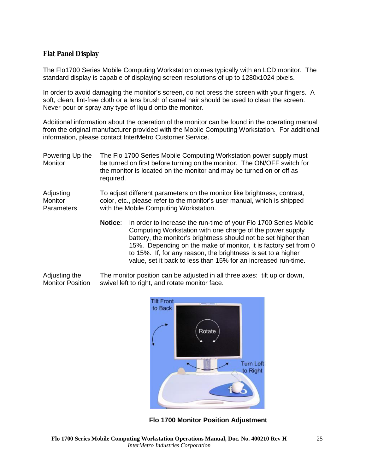#### *Flat Panel Display*

The Flo1700 Series Mobile Computing Workstation comes typically with an LCD monitor. The standard display is capable of displaying screen resolutions of up to 1280x1024 pixels.

In order to avoid damaging the monitor's screen, do not press the screen with your fingers. A soft, clean, lint-free cloth or a lens brush of camel hair should be used to clean the screen. Never pour or spray any type of liquid onto the monitor.

Additional information about the operation of the monitor can be found in the operating manual from the original manufacturer provided with the Mobile Computing Workstation. For additional information, please contact InterMetro Customer Service.

- Powering Up the **Monitor** The Flo 1700 Series Mobile Computing Workstation power supply must be turned on first before turning on the monitor. The ON/OFF switch for the monitor is located on the monitor and may be turned on or off as required.
- Adjusting **Monitor Parameters** To adjust different parameters on the monitor like brightness, contrast, color, etc., please refer to the monitor's user manual, which is shipped with the Mobile Computing Workstation.
	- **Notice:** In order to increase the run-time of your Flo 1700 Series Mobile Computing Workstation with one charge of the power supply battery, the monitor's brightness should not be set higher than 15%. Depending on the make of monitor, it is factory set from 0 to 15%. If, for any reason, the brightness is set to a higher value, set it back to less than 15% for an increased run-time.

Adjusting the Monitor Position The monitor position can be adjusted in all three axes: tilt up or down, swivel left to right, and rotate monitor face.



**Flo 1700 Monitor Position Adjustment**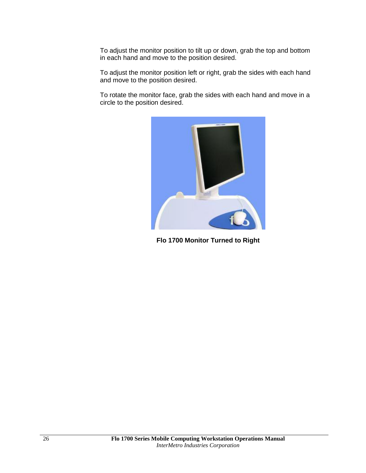To adjust the monitor position to tilt up or down, grab the top and bottom in each hand and move to the position desired.

To adjust the monitor position left or right, grab the sides with each hand and move to the position desired.

To rotate the monitor face, grab the sides with each hand and move in a circle to the position desired.



**Flo 1700 Monitor Turned to Right**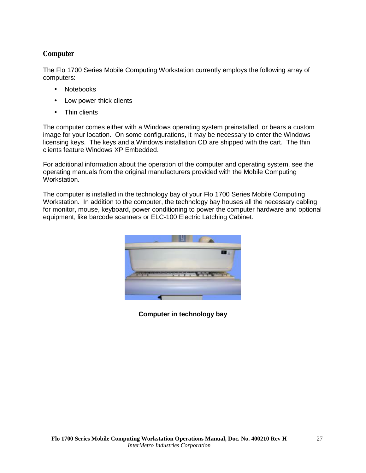### *Computer*

The Flo 1700 Series Mobile Computing Workstation currently employs the following array of computers:

- Notebooks
- Low power thick clients
- Thin clients

The computer comes either with a Windows operating system preinstalled, or bears a custom image for your location. On some configurations, it may be necessary to enter the Windows licensing keys. The keys and a Windows installation CD are shipped with the cart. The thin clients feature Windows XP Embedded.

For additional information about the operation of the computer and operating system, see the operating manuals from the original manufacturers provided with the Mobile Computing Workstation.

The computer is installed in the technology bay of your Flo 1700 Series Mobile Computing Workstation. In addition to the computer, the technology bay houses all the necessary cabling for monitor, mouse, keyboard, power conditioning to power the computer hardware and optional equipment, like barcode scanners or ELC-100 Electric Latching Cabinet.



**Computer in technology bay**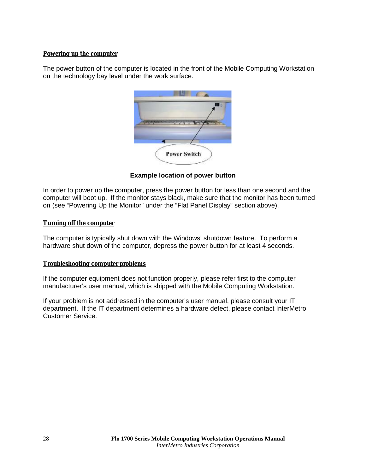#### **Powering up the computer**

The power button of the computer is located in the front of the Mobile Computing Workstation on the technology bay level under the work surface.



**Example location of power button**

In order to power up the computer, press the power button for less than one second and the computer will boot up. If the monitor stays black, make sure that the monitor has been turned on (see "Powering Up the Monitor" under the "Flat Panel Display" section above).

#### **Turning off the computer**

The computer is typically shut down with the Windows' shutdown feature. To perform a hardware shut down of the computer, depress the power button for at least 4 seconds.

#### **Troubleshooting computer problems**

If the computer equipment does not function properly, please refer first to the computer manufacturer's user manual, which is shipped with the Mobile Computing Workstation.

If your problem is not addressed in the computer's user manual, please consult your IT department. If the IT department determines a hardware defect, please contact InterMetro Customer Service.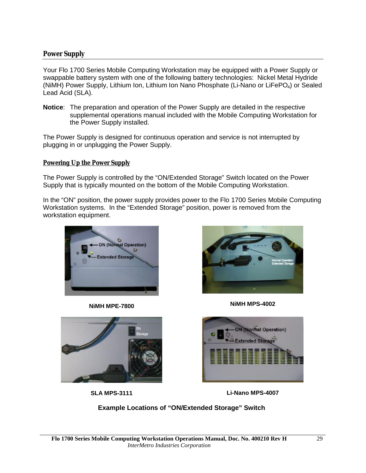#### *Power Supply*

Your Flo 1700 Series Mobile Computing Workstation may be equipped with a Power Supply or swappable battery system with one of the following battery technologies: Nickel Metal Hydride (NiMH) Power Supply, Lithium Ion, Lithium Ion Nano Phosphate (Li-Nano or LiFePO<sub>4</sub>) or Sealed Lead Acid (SLA).

**Notice**: The preparation and operation of the Power Supply are detailed in the respective supplemental operations manual included with the Mobile Computing Workstation for the Power Supply installed.

The Power Supply is designed for continuous operation and service is not interrupted by plugging in or unplugging the Power Supply.

#### **Powering Up the Power Supply**

The Power Supply is controlled by the "ON/Extended Storage" Switch located on the Power Supply that is typically mounted on the bottom of the Mobile Computing Workstation.

In the "ON" position, the power supply provides power to the Flo 1700 Series Mobile Computing Workstation systems. In the "Extended Storage" position, power is removed from the workstation equipment.







**NiMH MPE-7800 NiMH MPS-4002**



**SLA MPS-3111 Li-Nano MPS-4007** 

#### **Example Locations of "ON/Extended Storage" Switch**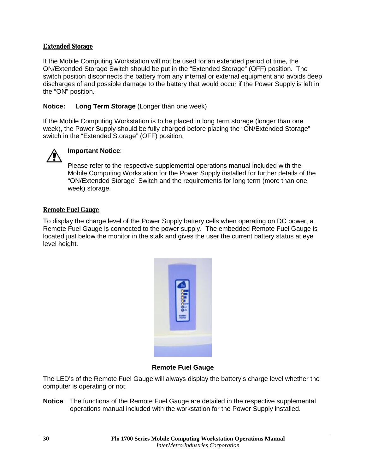#### **Extended Storage**

If the Mobile Computing Workstation will not be used for an extended period of time, the ON/Extended Storage Switch should be put in the "Extended Storage" (OFF) position. The switch position disconnects the battery from any internal or external equipment and avoids deep discharges of and possible damage to the battery that would occur if the Power Supply is left in the "ON" position.

#### **Notice: Long Term Storage** (Longer than one week)

If the Mobile Computing Workstation is to be placed in long term storage (longer than one week), the Power Supply should be fully charged before placing the "ON/Extended Storage" switch in the "Extended Storage" (OFF) position.



### **Important Notice**:

Please refer to the respective supplemental operations manual included with the Mobile Computing Workstation for the Power Supply installed for further details of the "ON/Extended Storage" Switch and the requirements for long term (more than one week) storage.

#### **Remote Fuel Gauge**

To display the charge level of the Power Supply battery cells when operating on DC power, a Remote Fuel Gauge is connected to the power supply. The embedded Remote Fuel Gauge is located just below the monitor in the stalk and gives the user the current battery status at eye level height.



#### **Remote Fuel Gauge**

The LED's of the Remote Fuel Gauge will always display the battery's charge level whether the computer is operating or not.

**Notice**: The functions of the Remote Fuel Gauge are detailed in the respective supplemental operations manual included with the workstation for the Power Supply installed.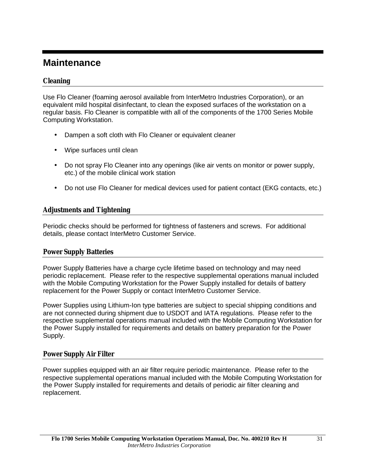## **Maintenance**

### *Cleaning*

Use Flo Cleaner (foaming aerosol available from InterMetro Industries Corporation), or an equivalent mild hospital disinfectant, to clean the exposed surfaces of the workstation on a regular basis. Flo Cleaner is compatible with all of the components of the 1700 Series Mobile Computing Workstation.

- Dampen a soft cloth with Flo Cleaner or equivalent cleaner
- Wipe surfaces until clean
- Do not spray Flo Cleaner into any openings (like air vents on monitor or power supply, etc.) of the mobile clinical work station
- Do not use Flo Cleaner for medical devices used for patient contact (EKG contacts, etc.)

#### *Adjustments and Tightening*

Periodic checks should be performed for tightness of fasteners and screws. For additional details, please contact InterMetro Customer Service.

#### *Power Supply Batteries*

Power Supply Batteries have a charge cycle lifetime based on technology and may need periodic replacement. Please refer to the respective supplemental operations manual included with the Mobile Computing Workstation for the Power Supply installed for details of battery replacement for the Power Supply or contact InterMetro Customer Service.

Power Supplies using Lithium-Ion type batteries are subject to special shipping conditions and are not connected during shipment due to USDOT and IATA regulations. Please refer to the respective supplemental operations manual included with the Mobile Computing Workstation for the Power Supply installed for requirements and details on battery preparation for the Power Supply.

#### *Power Supply Air Filter*

Power supplies equipped with an air filter require periodic maintenance. Please refer to the respective supplemental operations manual included with the Mobile Computing Workstation for the Power Supply installed for requirements and details of periodic air filter cleaning and replacement.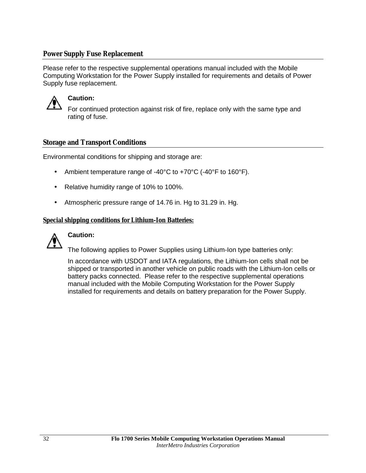### *Power Supply Fuse Replacement*

Please refer to the respective supplemental operations manual included with the Mobile Computing Workstation for the Power Supply installed for requirements and details of Power Supply fuse replacement.



#### **Caution:**

For continued protection against risk of fire, replace only with the same type and rating of fuse.

#### *Storage and Transport Conditions*

Environmental conditions for shipping and storage are:

- Ambient temperature range of -40°C to +70°C (-40°F to 160°F).
- Relative humidity range of 10% to 100%.
- Atmospheric pressure range of 14.76 in. Hg to 31.29 in. Hg.

#### **Special shipping conditions for Lithium-Ion Batteries:**



#### **Caution:**

The following applies to Power Supplies using Lithium-Ion type batteries only:

In accordance with USDOT and IATA regulations, the Lithium-Ion cells shall not be shipped or transported in another vehicle on public roads with the Lithium-Ion cells or battery packs connected. Please refer to the respective supplemental operations manual included with the Mobile Computing Workstation for the Power Supply installed for requirements and details on battery preparation for the Power Supply.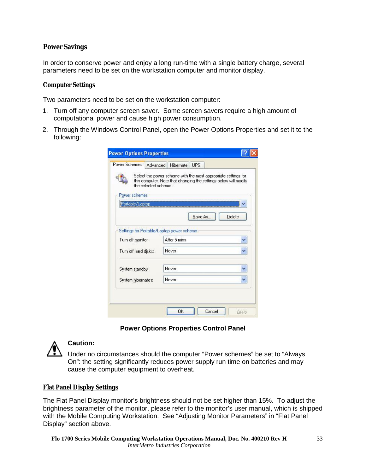#### *Power Savings*

In order to conserve power and enjoy a long run-time with a single battery charge, several parameters need to be set on the workstation computer and monitor display.

#### **Computer Settings**

Two parameters need to be set on the workstation computer:

- 1. Turn off any computer screen saver. Some screen savers require a high amount of computational power and cause high power consumption.
- 2. Through the Windows Control Panel, open the Power Options Properties and set it to the following:

| <b>Hibernate</b><br><b>LIPS</b> |                                                                                                                                                                                                                                                  |
|---------------------------------|--------------------------------------------------------------------------------------------------------------------------------------------------------------------------------------------------------------------------------------------------|
|                                 |                                                                                                                                                                                                                                                  |
|                                 |                                                                                                                                                                                                                                                  |
|                                 |                                                                                                                                                                                                                                                  |
|                                 |                                                                                                                                                                                                                                                  |
|                                 | Delete                                                                                                                                                                                                                                           |
|                                 |                                                                                                                                                                                                                                                  |
| After 5 mins                    |                                                                                                                                                                                                                                                  |
| Never                           |                                                                                                                                                                                                                                                  |
| Never                           |                                                                                                                                                                                                                                                  |
| Never                           |                                                                                                                                                                                                                                                  |
|                                 | Power Schemes   Advanced  <br>Select the power scheme with the most appropriate settings for<br>this computer. Note that changing the settings below will modify<br>the selected scheme.<br>Save As<br>Settings for Portable/Laptop power scheme |

**Power Options Properties Control Panel** 



#### **Caution:**

Under no circumstances should the computer "Power schemes" be set to "Always On": the setting significantly reduces power supply run time on batteries and may cause the computer equipment to overheat.

#### **Flat Panel Display Settings**

The Flat Panel Display monitor's brightness should not be set higher than 15%. To adjust the brightness parameter of the monitor, please refer to the monitor's user manual, which is shipped with the Mobile Computing Workstation. See "Adjusting Monitor Parameters" in "Flat Panel Display" section above.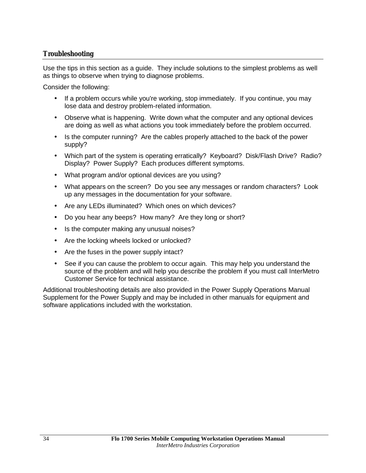#### *Troubleshooting*

Use the tips in this section as a guide. They include solutions to the simplest problems as well as things to observe when trying to diagnose problems.

Consider the following:

- If a problem occurs while you're working, stop immediately. If you continue, you may lose data and destroy problem-related information.
- Observe what is happening. Write down what the computer and any optional devices are doing as well as what actions you took immediately before the problem occurred.
- Is the computer running? Are the cables properly attached to the back of the power supply?
- Which part of the system is operating erratically? Keyboard? Disk/Flash Drive? Radio? Display? Power Supply? Each produces different symptoms.
- What program and/or optional devices are you using?
- What appears on the screen? Do you see any messages or random characters? Look up any messages in the documentation for your software.
- Are any LEDs illuminated? Which ones on which devices?
- Do you hear any beeps? How many? Are they long or short?
- Is the computer making any unusual noises?
- Are the locking wheels locked or unlocked?
- Are the fuses in the power supply intact?
- See if you can cause the problem to occur again. This may help you understand the source of the problem and will help you describe the problem if you must call InterMetro Customer Service for technical assistance.

Additional troubleshooting details are also provided in the Power Supply Operations Manual Supplement for the Power Supply and may be included in other manuals for equipment and software applications included with the workstation.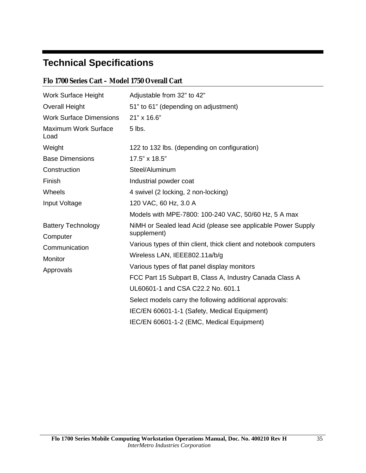# **Technical Specifications**

### *Flo 1700 Series Cart – Model 1750 Overall Cart*

| Work Surface Height                   | Adjustable from 32" to 42"                                                  |
|---------------------------------------|-----------------------------------------------------------------------------|
| <b>Overall Height</b>                 | 51" to 61" (depending on adjustment)                                        |
| <b>Work Surface Dimensions</b>        | 21" x 16.6"                                                                 |
| Maximum Work Surface<br>Load          | $5$ lbs.                                                                    |
| Weight                                | 122 to 132 lbs. (depending on configuration)                                |
| <b>Base Dimensions</b>                | 17.5" x 18.5"                                                               |
| Construction                          | Steel/Aluminum                                                              |
| Finish                                | Industrial powder coat                                                      |
| Wheels                                | 4 swivel (2 locking, 2 non-locking)                                         |
| Input Voltage                         | 120 VAC, 60 Hz, 3.0 A                                                       |
|                                       | Models with MPE-7800: 100-240 VAC, 50/60 Hz, 5 A max                        |
| <b>Battery Technology</b><br>Computer | NiMH or Sealed lead Acid (please see applicable Power Supply<br>supplement) |
| Communication                         | Various types of thin client, thick client and notebook computers           |
| Monitor                               | Wireless LAN, IEEE802.11a/b/g                                               |
| Approvals                             | Various types of flat panel display monitors                                |
|                                       | FCC Part 15 Subpart B, Class A, Industry Canada Class A                     |
|                                       | UL60601-1 and CSA C22.2 No. 601.1                                           |
|                                       | Select models carry the following additional approvals:                     |
|                                       | IEC/EN 60601-1-1 (Safety, Medical Equipment)                                |
|                                       | IEC/EN 60601-1-2 (EMC, Medical Equipment)                                   |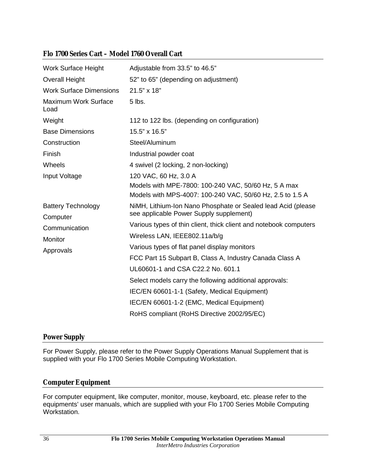### *Flo 1700 Series Cart – Model 1760 Overall Cart*

| Work Surface Height                   | Adjustable from 33.5" to 46.5"                                                                                                             |
|---------------------------------------|--------------------------------------------------------------------------------------------------------------------------------------------|
| <b>Overall Height</b>                 | 52" to 65" (depending on adjustment)                                                                                                       |
| <b>Work Surface Dimensions</b>        | 21.5" x 18"                                                                                                                                |
| <b>Maximum Work Surface</b><br>Load   | $5$ lbs.                                                                                                                                   |
| Weight                                | 112 to 122 lbs. (depending on configuration)                                                                                               |
| <b>Base Dimensions</b>                | 15.5" x 16.5"                                                                                                                              |
| Construction                          | Steel/Aluminum                                                                                                                             |
| Finish                                | Industrial powder coat                                                                                                                     |
| Wheels                                | 4 swivel (2 locking, 2 non-locking)                                                                                                        |
| Input Voltage                         | 120 VAC, 60 Hz, 3.0 A<br>Models with MPE-7800: 100-240 VAC, 50/60 Hz, 5 A max<br>Models with MPS-4007: 100-240 VAC, 50/60 Hz, 2.5 to 1.5 A |
| <b>Battery Technology</b><br>Computer | NiMH, Lithium-Ion Nano Phosphate or Sealed lead Acid (please<br>see applicable Power Supply supplement)                                    |
| Communication                         | Various types of thin client, thick client and notebook computers                                                                          |
| Monitor                               | Wireless LAN, IEEE802.11a/b/g                                                                                                              |
| Approvals                             | Various types of flat panel display monitors                                                                                               |
|                                       | FCC Part 15 Subpart B, Class A, Industry Canada Class A                                                                                    |
|                                       | UL60601-1 and CSA C22.2 No. 601.1                                                                                                          |
|                                       | Select models carry the following additional approvals:                                                                                    |
|                                       | IEC/EN 60601-1-1 (Safety, Medical Equipment)                                                                                               |
|                                       | IEC/EN 60601-1-2 (EMC, Medical Equipment)                                                                                                  |
|                                       | RoHS compliant (RoHS Directive 2002/95/EC)                                                                                                 |

### *Power Supply*

For Power Supply, please refer to the Power Supply Operations Manual Supplement that is supplied with your Flo 1700 Series Mobile Computing Workstation.

### *Computer Equipment*

For computer equipment, like computer, monitor, mouse, keyboard, etc. please refer to the equipments' user manuals, which are supplied with your Flo 1700 Series Mobile Computing Workstation.